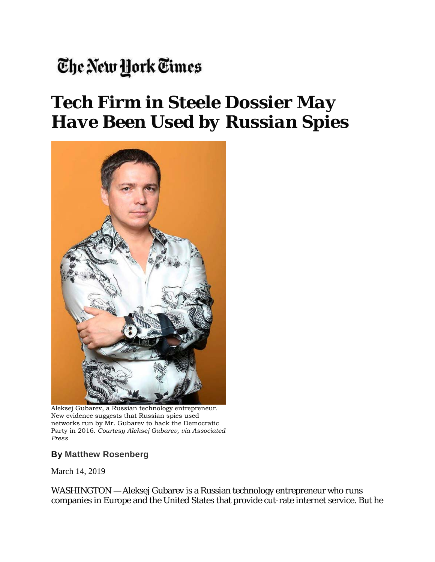## The New York Times

## *Tech Firm in Steele Dossier May Have Been Used by Russian Spies*



Aleksej Gubarev, a Russian technology entrepreneur. New evidence suggests that Russian spies used networks run by Mr. Gubarev to hack the Democratic Party in 2016. *Courtesy Aleksej Gubarev, via Associated Press*

## **By Matthew [Rosenberg](https://www.nytimes.com/by/matthew-rosenberg)**

March 14, 2019

WASHINGTON — Aleksej Gubarev is a Russian technology entrepreneur who runs companies in Europe and the United States that provide cut-rate internet service. But he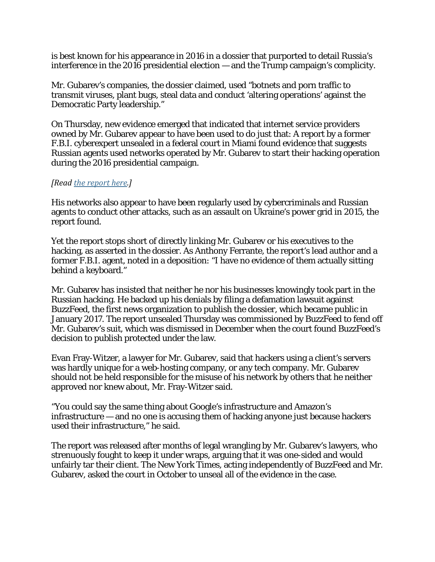is best known for his appearance in 2016 in a dossier that purported to detail Russia's interference in the 2016 presidential election — and the Trump campaign's complicity.

Mr. Gubarev's companies, the dossier claimed, used "botnets and porn traffic to transmit viruses, plant bugs, steal data and conduct 'altering operations' against the Democratic Party leadership."

On Thursday, new evidence emerged that indicated that internet service providers owned by Mr. Gubarev appear to have been used to do just that: A report by a former F.B.I. cyberexpert unsealed in a federal court in Miami found evidence that suggests Russian agents used networks operated by Mr. Gubarev to start their hacking operation during the 2016 presidential campaign.

## *[Read the [report](https://www.royblack.com/files/news/BuzzFeed/Ferrante%20Expert%20Report.pdf) here.]*

His networks also appear to have been regularly used by cybercriminals and Russian agents to conduct other attacks, such as an assault on Ukraine's power grid in 2015, the report found.

Yet the report stops short of directly linking Mr. Gubarev or his executives to the hacking, as asserted in the dossier. As Anthony Ferrante, the report's lead author and a former F.B.I. agent, noted in a deposition: "I have no evidence of them actually sitting behind a keyboard."

Mr. Gubarev has insisted that neither he nor his businesses knowingly took part in the Russian hacking. He backed up his denials by filing a defamation lawsuit against BuzzFeed, the first news organization to publish the dossier, which became public in January 2017. The report unsealed Thursday was commissioned by BuzzFeed to fend off Mr. Gubarev's suit, which was dismissed in December when the court found BuzzFeed's decision to publish protected under the law.

Evan Fray-Witzer, a lawyer for Mr. Gubarev, said that hackers using a client's servers was hardly unique for a web-hosting company, or any tech company. Mr. Gubarev should not be held responsible for the misuse of his network by others that he neither approved nor knew about, Mr. Fray-Witzer said.

"You could say the same thing about Google's infrastructure and Amazon's infrastructure — and no one is accusing them of hacking anyone just because hackers used their infrastructure," he said.

The report was released after months of legal wrangling by Mr. Gubarev's lawyers, who strenuously fought to keep it under wraps, arguing that it was one-sided and would unfairly tar their client. The New York Times, acting independently of BuzzFeed and Mr. Gubarev, asked the court in October to unseal all of the evidence in the case.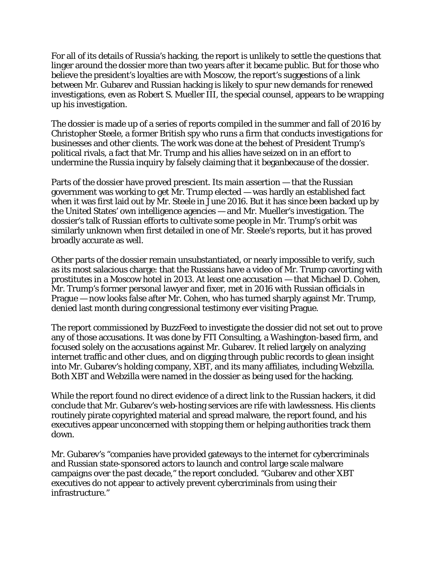For all of its details of Russia's hacking, the report is unlikely to settle the questions that linger around the dossier more than two years after it became public. But for those who believe the president's loyalties are with Moscow, the report's suggestions of a link between Mr. Gubarev and Russian hacking is likely to spur new demands for renewed investigations, even as Robert S. Mueller III, the special counsel, appears to be wrapping up his investigation.

The dossier is made up of a series of reports compiled in the summer and fall of 2016 by Christopher Steele, a former British spy who runs a firm that conducts investigations for businesses and other clients. The work was done at the behest of President Trump's political rivals, a fact that Mr. Trump and his allies have seized on in an effort to undermine the Russia inquiry by falsely claiming that it beganbecause of the dossier.

Parts of the dossier have proved prescient. Its main assertion — that the Russian government was working to get Mr. Trump elected — was hardly an established fact when it was first laid out by Mr. Steele in June 2016. But it has since been backed up by the United States' own intelligence agencies — and Mr. Mueller's investigation. The dossier's talk of Russian efforts to cultivate some people in Mr. Trump's orbit was similarly unknown when first detailed in one of Mr. Steele's reports, but it has proved broadly accurate as well.

Other parts of the dossier remain unsubstantiated, or nearly impossible to verify, such as its most salacious charge: that the Russians have a video of Mr. Trump cavorting with prostitutes in a Moscow hotel in 2013. At least one accusation — that Michael D. Cohen, Mr. Trump's former personal lawyer and fixer, met in 2016 with Russian officials in Prague — now looks false after Mr. Cohen, who has turned sharply against Mr. Trump, denied last month during congressional testimony ever visiting Prague.

The report commissioned by BuzzFeed to investigate the dossier did not set out to prove any of those accusations. It was done by FTI Consulting, a Washington-based firm, and focused solely on the accusations against Mr. Gubarev. It relied largely on analyzing internet traffic and other clues, and on digging through public records to glean insight into Mr. Gubarev's holding company, XBT, and its many affiliates, including Webzilla. Both XBT and Webzilla were named in the dossier as being used for the hacking.

While the report found no direct evidence of a direct link to the Russian hackers, it did conclude that Mr. Gubarev's web-hosting services are rife with lawlessness. His clients routinely pirate copyrighted material and spread malware, the report found, and his executives appear unconcerned with stopping them or helping authorities track them down.

Mr. Gubarev's "companies have provided gateways to the internet for cybercriminals and Russian state-sponsored actors to launch and control large scale malware campaigns over the past decade," the report concluded. "Gubarev and other XBT executives do not appear to actively prevent cybercriminals from using their infrastructure."